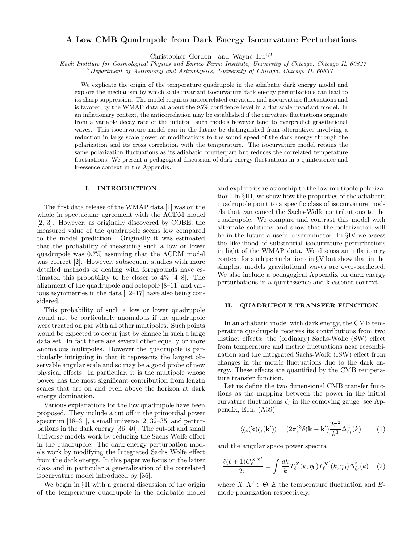# A Low CMB Quadrupole from Dark Energy Isocurvature Perturbations

Christopher Gordon<sup>1</sup> and Wayne  $Hu^{1,2}$ 

<sup>1</sup> Kavli Institute for Cosmological Physics and Enrico Fermi Institute, University of Chicago, Chicago IL 60637

 $2$ Department of Astronomy and Astrophysics, University of Chicago, Chicago IL 60637

We explicate the origin of the temperature quadrupole in the adiabatic dark energy model and explore the mechanism by which scale invariant isocurvature dark energy perturbations can lead to its sharp suppression. The model requires anticorrelated curvature and isocurvature fluctuations and is favored by the WMAP data at about the 95% confidence level in a flat scale invariant model. In an inflationary context, the anticorrelation may be established if the curvature fluctuations originate from a variable decay rate of the inflaton; such models however tend to overpredict gravitational waves. This isocurvature model can in the future be distinguished from alternatives involving a reduction in large scale power or modifications to the sound speed of the dark energy through the polarization and its cross correlation with the temperature. The isocurvature model retains the same polarization fluctuations as its adiabatic counterpart but reduces the correlated temperature fluctuations. We present a pedagogical discussion of dark energy fluctuations in a quintessence and k-essence context in the Appendix.

# I. INTRODUCTION

The first data release of the WMAP data [1] was on the whole in spectacular agreement with the ΛCDM model [2, 3]. However, as originally discovered by COBE, the measured value of the quadrupole seems low compared to the model prediction. Originally it was estimated that the probability of measuring such a low or lower quadrupole was 0.7% assuming that the ΛCDM model was correct [2]. However, subsequent studies with more detailed methods of dealing with foregrounds have estimated this probability to be closer to 4% [4–8]. The alignment of the quadrupole and octopole [8–11] and various asymmetries in the data [12–17] have also being considered.

This probability of such a low or lower quadrupole would not be particularly anomalous if the quadrupole were treated on par with all other multipoles. Such points would be expected to occur just by chance in such a large data set. In fact there are several other equally or more anomalous multipoles. However the quadrupole is particularly intriguing in that it represents the largest observable angular scale and so may be a good probe of new physical effects. In particular, it is the multipole whose power has the most significant contribution from length scales that are on and even above the horizon at dark energy domination.

Various explanations for the low quadrupole have been proposed. They include a cut off in the primordial power spectrum [18–31], a small universe [2, 32–35] and perturbations in the dark energy [36–40]. The cut-off and small Universe models work by reducing the Sachs Wolfe effect in the quadrupole. The dark energy perturbation models work by modifying the Integrated Sachs Wolfe effect from the dark energy. In this paper we focus on the latter class and in particular a generalization of the correlated isocurvature model introduced by [36].

We begin in §II with a general discussion of the origin of the temperature quadrupole in the adiabatic model and explore its relationship to the low multipole polarization. In §III, we show how the properties of the adiabatic quadrupole point to a specific class of isocurvature models that can cancel the Sachs-Wolfe contributions to the quadrupole. We compare and contrast this model with alternate solutions and show that the polarization will be in the future a useful discriminator. In §IV we assess the likelihood of substantial isocurvature perturbations in light of the WMAP data. We discuss an inflationary context for such perturbations in §V but show that in the simplest models gravitational waves are over-predicted. We also include a pedagogical Appendix on dark energy perturbations in a quintessence and k-essence context.

## II. QUADRUPOLE TRANSFER FUNCTION

In an adiabatic model with dark energy, the CMB temperature quadrupole receives its contributions from two distinct effects: the (ordinary) Sachs-Wolfe (SW) effect from temperature and metric fluctuations near recombination and the Integrated Sachs-Wolfe (ISW) effect from changes in the metric fluctuations due to the dark energy. These effects are quantified by the CMB temperature transfer function.

Let us define the two dimensional CMB transfer functions as the mapping between the power in the initial curvature fluctuations  $\zeta_i$  in the comoving gauge [see Appendix, Eqn. (A39)]

$$
\langle \zeta_i(\mathbf{k}) \zeta_i(\mathbf{k}') \rangle = (2\pi)^3 \delta(\mathbf{k} - \mathbf{k}') \frac{2\pi^2}{k^3} \Delta_{\zeta_i}^2(k) \qquad (1)
$$

and the angular space power spectra

$$
\frac{\ell(\ell+1)C_{\ell}^{XX'}}{2\pi} = \int \frac{dk}{k} T_{\ell}^{X}(k,\eta_0) T_{\ell}^{X'}(k,\eta_0) \Delta_{\zeta_i}^2(k), (2)
$$

where  $X, X' \in \Theta$ , E the temperature fluctuation and Emode polarization respectively.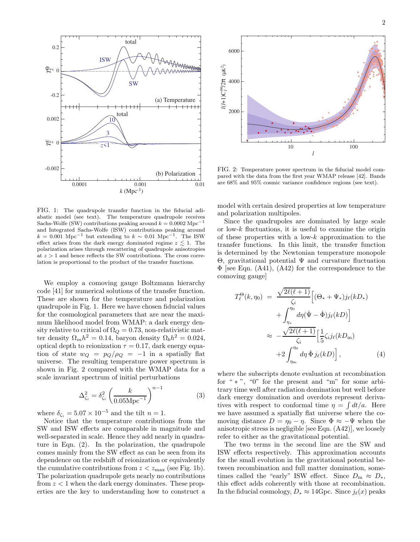

FIG. 1: The quadrupole transfer function in the fiducial adiabatic model (see text). The temperature quadrupole receives Sachs-Wolfe (SW) contributions peaking around  $k = 0.0002$  Mpc<sup>-1</sup> and Integrated Sachs-Wolfe (ISW) contributions peaking around  $k = 0.001$  Mpc<sup>-1</sup> but extending to  $k \sim 0.01$  Mpc<sup>-1</sup>. The ISW effect arises from the dark energy dominated regime  $z \lesssim 1$ . The polarization arises through rescattering of quadrupole anisotropies at  $z > 1$  and hence reflects the SW contributions. The cross correlation is proportional to the product of the transfer functions.

We employ a comoving gauge Boltzmann hierarchy code [41] for numerical solutions of the transfer function. These are shown for the temperature and polarization quadrupole in Fig. 1. Here we have chosen fiducial values for the cosmological parameters that are near the maximum likelihood model from WMAP: a dark energy density relative to critical of  $\Omega_Q = 0.73$ , non-relativistic matter density  $\Omega_m h^2 = 0.14$ , baryon density  $\Omega_b h^2 = 0.024$ , optical depth to reionization  $\tau = 0.17$ , dark energy equation of state  $w_Q = p_Q/\rho_Q = -1$  in a spatially flat universe. The resulting temperature power spectrum is shown in Fig. 2 compared with the WMAP data for a scale invariant spectrum of initial perturbations

$$
\Delta_{\zeta_i}^2 = \delta_{\zeta_i}^2 \left(\frac{k}{0.05 \text{Mpc}^{-1}}\right)^{n-1} \tag{3}
$$

where  $\delta_{\zeta_i} = 5.07 \times 10^{-5}$  and the tilt  $n = 1$ .

Notice that the temperature contributions from the SW and ISW effects are comparable in magnitude and well-separated in scale. Hence they add nearly in quadrature in Eqn. (2). In the polarization, the quadrupole comes mainly from the SW effect as can be seen from its dependence on the redshift of reionization or equivalently the cumulative contributions from  $z < z_{\text{max}}$  (see Fig. 1b). The polarization quadrupole gets nearly no contributions from  $z < 1$  when the dark energy dominates. These properties are the key to understanding how to construct a



FIG. 2: Temperature power spectrum in the fiducial model compared with the data from the first year WMAP release [42]. Bands are 68% and 95% cosmic variance confidence regions (see text).

model with certain desired properties at low temperature and polarization multipoles.

Since the quadrupoles are dominated by large scale or low-k fluctuations, it is useful to examine the origin of these properties with a low- $k$  approximation to the transfer functions. In this limit, the transfer function is determined by the Newtonian temperature monopole Θ, gravitational potential Ψ and curvature fluctuation  $\Phi$  [see Eqn. (A41), (A42) for the correspondence to the comoving gauge]

$$
T_{\ell}^{\Theta}(k,\eta_{0}) = \frac{\sqrt{2\ell(\ell+1)}}{\zeta_{i}} \Big[ (\Theta_{*} + \Psi_{*}) j_{\ell}(kD_{*}) + \int_{\eta_{*}}^{\eta_{0}} d\eta (\dot{\Psi} - \dot{\Phi}) j_{\ell}(kD) \Big] \approx -\frac{\sqrt{2\ell(\ell+1)}}{\zeta_{i}} \Big[ \frac{1}{5} \zeta_{i} j_{\ell}(kD_{m}) + 2 \int_{\eta_{m}}^{\eta_{0}} d\eta \dot{\Phi} j_{\ell}(kD) \Big],
$$
\n(4)

where the subscripts denote evaluation at recombination for "  $*$ ", "0" for the present and "m" for some arbitrary time well after radiation domination but well before dark energy domination and overdots represent derivatives with respect to conformal time  $\eta = \int dt/a$ . Here we have assumed a spatially flat universe where the comoving distance  $D = \eta_0 - \eta$ . Since  $\Phi \approx -\Psi$  when the anisotropic stress is negligible [see Eqn. (A42)], we loosely refer to either as the gravitational potential.

The two terms in the second line are the SW and ISW effects respectively. This approximation accounts for the small evolution in the gravitational potential between recombination and full matter domination, sometimes called the "early" ISW effect. Since  $D_m \approx D_*$ , this effect adds coherently with those at recombination. In the fiducial cosmology,  $D_* \approx 14 \text{Gpc}$ . Since  $j_{\ell}(x)$  peaks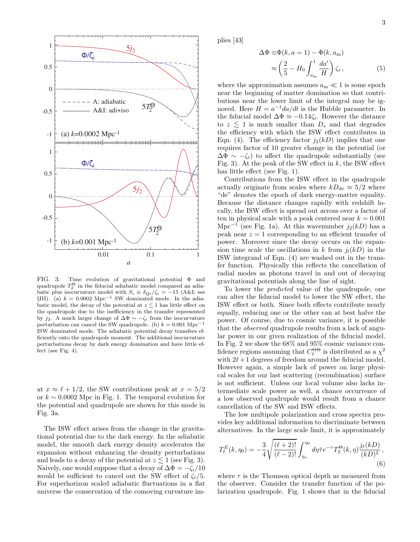

FIG. 3: Time evolution of gravitational potential Φ and quadrupole  $T_2^{\Theta}$  in the fiducial adiabatic model compared an adiabatic plus isocurvature model with  $S_i \equiv \delta_{Qi}/\zeta_i = -15$  (A&I; see §III). (a)  $k = 0.0002$  Mpc<sup>-1</sup> SW dominated mode. In the adiabatic model, the decay of the potential at  $z \lesssim 1$  has little effect on the quadrupole due to the inefficiency in the transfer represented by  $j_2$ . A much larger change of  $\Delta \Phi \sim -\zeta_i$  from the isocurvature perturbation can cancel the SW quadrupole. (b)  $k=0.001\ \mathrm{Mpc^{-1}}$ ISW dominated mode. The adiabatic potential decay transfers efficiently onto the quadrupole moment. The additional isocurvature perturbations decay by dark energy domination and have little effect (see Fig. 4).

at  $x \approx \ell + 1/2$ , the SW contributions peak at  $x = 5/2$ or  $k \sim 0.0002$  Mpc in Fig. 1. The temporal evolution for the potential and quadrupole are shown for this mode in Fig. 3a.

The ISW effect arises from the change in the gravitational potential due to the dark energy. In the adiabatic model, the smooth dark energy density accelerates the expansion without enhancing the density perturbations and leads to a decay of the potential at  $z \lesssim 1$  (see Fig. 3). Naively, one would suppose that a decay of  $\Delta \Phi = -\zeta_i/10$ would be sufficient to cancel out the SW effect of  $\zeta_i/5$ . For superhorizon scaled adiabatic fluctuations in a flat universe the conservation of the comoving curvature implies [43]

$$
\Delta \Phi \equiv \Phi(k, a = 1) - \Phi(k, a_{\rm m})
$$

$$
\approx \left(\frac{2}{5} - H_0 \int_{a_{\rm m}}^1 \frac{da'}{H}\right) \zeta_i , \qquad (5)
$$

where the approximation assumes  $a_m \ll 1$  is some epoch near the beginning of matter domination so that contributions near the lower limit of the integral may be ignored. Here  $H = a^{-1}da/dt$  is the Hubble parameter. In the fiducial model  $\Delta \Phi \approx -0.14 \zeta_i$ . However the distance to  $z \leq 1$  is much smaller than  $D_*$  and that degrades the efficiency with which the ISW effect contributes in Eqn. (4). The efficiency factor  $j_2(kD)$  implies that one requires factor of 10 greater change in the potential (or  $\Delta \Phi \sim -\zeta_i$ ) to affect the quadrupole substantially (see Fig. 3). At the peak of the SW effect in  $k$ , the ISW effect has little effect (see Fig. 1).

Contributions from the ISW effect in the quadrupole actually originate from scales where  $kD_{\text{de}} \approx 5/2$  where "de" denotes the epoch of dark energy-matter equality. Because the distance changes rapidly with redshift locally, the ISW effect is spread out across over a factor of ten in physical scale with a peak centered near  $k = 0.001$ Mpc<sup>-1</sup> (see Fig. 1a). At this wavenumber  $j_2(kD)$  has a peak near  $z = 1$  corresponding to an efficient transfer of power. Moreover since the decay occurs on the expansion time scale the oscillations in k from  $j_l(kD)$  in the ISW integrand of Eqn. (4) are washed out in the transfer function. Physically this reflects the cancellation of radial modes as photons travel in and out of decaying gravitational potentials along the line of sight.

To lower the predicted value of the quadrupole, one can alter the fiducial model to lower the SW effect, the ISW effect or both. Since both effects contribute nearly equally, reducing one or the other can at best halve the power. Of course, due to cosmic variance, it is possible that the observed quadrupole results from a lack of angular power in our given realization of the fiducial model. In Fig. 2 we show the 68% and 95% cosmic variance confidence regions assuming that  $C_{\ell}^{\Theta\Theta}$  is distributed as a  $\chi^2$ with  $2\ell+1$  degrees of freedom around the fiducial model. However again, a simple lack of power on large physical scales for our last scattering (recombination) surface is not sufficient. Unless our local volume also lacks intermediate scale power as well, a chance occurrence of a low observed quadrupole would result from a chance cancellation of the SW and ISW effects.

The low multipole polarization and cross spectra provides key additional information to discriminate between alternatives. In the large scale limit, it is approximately

$$
T_{\ell}^{E}(k,\eta_{0}) = -\frac{3}{4} \sqrt{\frac{(\ell+2)!}{(\ell-2)!}} \int_{\eta_{*}}^{\eta_{0}} d\eta \dot{\tau} e^{-\tau} T_{2}^{\Theta}(k,\eta) \frac{j_{\ell}(kD)}{(kD)^{2}},
$$
\n(6)

where  $\tau$  is the Thomson optical depth as measured from the observer. Consider the transfer function of the polarization quadrupole. Fig. 1 shows that in the fiducial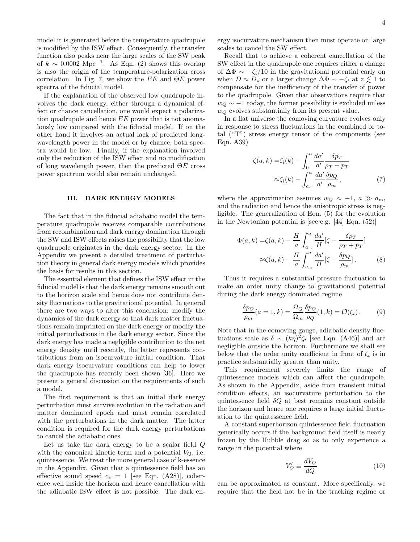model it is generated before the temperature quadrupole is modified by the ISW effect. Consequently, the transfer function also peaks near the large scales of the SW peak of  $k \sim 0.0002$  Mpc<sup>-1</sup>. As Eqn. (2) shows this overlap is also the origin of the temperature-polarization cross correlation. In Fig. 7, we show the  $EE$  and  $\Theta E$  power spectra of the fiducial model.

If the explanation of the observed low quadrupole involves the dark energy, either through a dynamical effect or chance cancellation, one would expect a polarization quadrupole and hence EE power that is not anomalously low compared with the fiducial model. If on the other hand it involves an actual lack of predicted longwavelength power in the model or by chance, both spectra would be low. Finally, if the explanation involved only the reduction of the ISW effect and no modification of long wavelength power, then the predicted  $\Theta E$  cross power spectrum would also remain unchanged.

# III. DARK ENERGY MODELS

The fact that in the fiducial adiabatic model the temperature quadrupole receives comparable contributions from recombination and dark energy domination through the SW and ISW effects raises the possibility that the low quadrupole originates in the dark energy sector. In the Appendix we present a detailed treatment of perturbation theory in general dark energy models which provides the basis for results in this section.

The essential element that defines the ISW effect in the fiducial model is that the dark energy remains smooth out to the horizon scale and hence does not contribute density fluctuations to the gravitational potential. In general there are two ways to alter this conclusion: modify the dynamics of the dark energy so that dark matter fluctuations remain imprinted on the dark energy or modify the initial perturbations in the dark energy sector. Since the dark energy has made a negligible contribution to the net energy density until recently, the latter represents contributions from an isocurvature initial condition. That dark energy isocurvature conditions can help to lower the quadrupole has recently been shown [36]. Here we present a general discussion on the requirements of such a model.

The first requirement is that an initial dark energy perturbation must survive evolution in the radiation and matter dominated epoch and must remain correlated with the perturbations in the dark matter. The latter condition is required for the dark energy perturbations to cancel the adiabatic ones.

Let us take the dark energy to be a scalar field  $Q$ with the canonical kinetic term and a potential  $V_Q$ , i.e. quintessence. We treat the more general case of k-essence in the Appendix. Given that a quintessence field has an effective sound speed  $c_e = 1$  [see Eqn. (A28)], coherence well inside the horizon and hence cancellation with the adiabatic ISW effect is not possible. The dark energy isocurvature mechanism then must operate on large scales to cancel the SW effect.

Recall that to achieve a coherent cancellation of the SW effect in the quadrupole one requires either a change of  $\Delta \Phi \sim -\zeta_i/10$  in the gravitational potential early on when  $D \approx D_*$  or a larger change  $\Delta \Phi \sim -\zeta_i$  at  $z \lesssim 1$  to compensate for the inefficiency of the transfer of power to the quadrupole. Given that observations require that  $w_Q \sim -1$  today, the former possibility is excluded unless  $w_Q$  evolves substantially from its present value.

In a flat universe the comoving curvature evolves only in response to stress fluctuations in the combined or total ("T") stress energy tensor of the components (see Eqn. A39)

$$
\zeta(a,k) = \zeta_i(k) - \int_0^a \frac{da'}{a'} \frac{\delta p_T}{\rho_T + p_T} \n\approx \zeta_i(k) - \int_{a_m}^a \frac{da'}{a'} \frac{\delta p_Q}{\rho_m},
$$
\n(7)

where the approximation assumes  $w_Q \approx -1, a \gg a_m$ , and the radiation and hence the anisotropic stress is negligible. The generalization of Eqn. (5) for the evolution in the Newtonian potential is [see e.g. [44] Eqn. (52)]

$$
\Phi(a,k) = \zeta(a,k) - \frac{H}{a} \int_{a_m}^{a} \frac{da'}{H} [\zeta - \frac{\delta p_T}{\rho_T + p_T}]
$$

$$
\approx \zeta(a,k) - \frac{H}{a} \int_{a_m}^{a} \frac{da'}{H} [\zeta - \frac{\delta p_Q}{\rho_m}].
$$
(8)

Thus it requires a substantial pressure fluctuation to make an order unity change to gravitational potential during the dark energy dominated regime

$$
\frac{\delta p_Q}{\rho_m}(a=1,k) = \frac{\Omega_Q}{\Omega_m} \frac{\delta p_Q}{\rho_Q}(1,k) = \mathcal{O}(\zeta_i). \tag{9}
$$

Note that in the comoving gauge, adiabatic density fluctuations scale as  $\delta \sim (k\eta)^2 \zeta_i$  [see Eqn. (A46)] and are negligible outside the horizon. Furthermore we shall see below that the order unity coefficient in front of  $\zeta_i$  is in practice substantially greater than unity.

This requirement severely limits the range of quintessence models which can affect the quadrupole. As shown in the Appendix, aside from transient initial condition effects, an isocurvature perturbation to the quintessence field  $\delta Q$  at best remains constant outside the horizon and hence one requires a large initial fluctuation to the quintessence field.

A constant superhorizon quintessence field fluctuation generically occurs if the background field itself is nearly frozen by the Hubble drag so as to only experience a range in the potential where

$$
V'_Q \equiv \frac{dV_Q}{dQ} \tag{10}
$$

can be approximated as constant. More specifically, we require that the field not be in the tracking regime or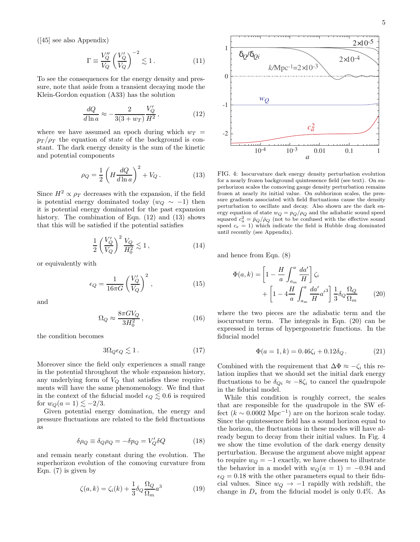([45] see also Appendix)

$$
\Gamma \equiv \frac{V''_Q}{V_Q} \left(\frac{V'_Q}{V_Q}\right)^{-2} \lesssim 1. \tag{11}
$$

To see the consequences for the energy density and pressure, note that aside from a transient decaying mode the Klein-Gordon equation (A33) has the solution

$$
\frac{dQ}{d\ln a} \approx -\frac{2}{3(3+w_T)} \frac{V'_Q}{H^2},\tag{12}
$$

where we have assumed an epoch during which  $w_T$  =  $p_T / \rho_T$  the equation of state of the background is constant. The dark energy density is the sum of the kinetic and potential components

$$
\rho_Q = \frac{1}{2} \left( H \frac{dQ}{d \ln a} \right)^2 + V_Q. \tag{13}
$$

Since  $H^2 \propto \rho_T$  decreases with the expansion, if the field is potential energy dominated today  $(w<sub>O</sub> \sim -1)$  then it is potential energy dominated for the past expansion history. The combination of Eqn. (12) and (13) shows that this will be satisfied if the potential satisfies

$$
\frac{1}{2} \left(\frac{V'_Q}{V_Q}\right)^2 \frac{V_Q}{H_0^2} \lesssim 1\,,\tag{14}
$$

or equivalently with

$$
\epsilon_Q = \frac{1}{16\pi G} \left(\frac{V'_Q}{V_Q}\right)^2, \qquad (15)
$$

and

$$
\Omega_Q \approx \frac{8\pi G V_Q}{3H_0^2},\qquad(16)
$$

the condition becomes

$$
3\Omega_Q \epsilon_Q \lesssim 1\,. \tag{17}
$$

Moreover since the field only experiences a small range in the potential throughout the whole expansion history, any underlying form of  $V_Q$  that satisfies these requirements will have the same phenomenology. We find that in the context of the fiducial model  $\epsilon_Q \lesssim 0.6$  is required for  $w_O(a = 1) \leq -2/3$ .

Given potential energy domination, the energy and pressure fluctuations are related to the field fluctuations as

$$
\delta \rho_Q \equiv \delta_Q \rho_Q = -\delta p_Q = V'_Q \delta Q \tag{18}
$$

and remain nearly constant during the evolution. The superhorizon evolution of the comoving curvature from Eqn. (7) is given by

$$
\zeta(a,k) = \zeta_i(k) + \frac{1}{3}\delta_Q \frac{\Omega_Q}{\Omega_m} a^3 \tag{19}
$$



FIG. 4: Isocurvature dark energy density perturbation evolution for a nearly frozen background quintessence field (see text). On superhorizon scales the comoving gauge density perturbation remains frozen at nearly its initial value. On subhorizon scales, the pressure gradients associated with field fluctuations cause the density perturbation to oscillate and decay. Also shown are the dark energy equation of state  $w_Q = p_Q/\rho_Q$  and the adiabatic sound speed squared  $c_a^2 = \dot{p}_Q / \dot{\rho}_Q$  (not to be confused with the effective sound speed  $c_e = 1$ ) which indicate the field is Hubble drag dominated until recently (see Appendix).

and hence from Eqn. (8)

$$
\Phi(a,k) = \left[1 - \frac{H}{a} \int_{a_{\rm m}}^{a} \frac{da'}{H}\right] \zeta_i
$$

$$
+ \left[1 - 4\frac{H}{a} \int_{a_{\rm m}}^{a} \frac{da'}{H} a'^3\right] \frac{1}{3} \delta_Q \frac{\Omega_Q}{\Omega_m} \tag{20}
$$

where the two pieces are the adiabatic term and the isocurvature term. The integrals in Eqn. (20) can be expressed in terms of hypergeometric functions. In the fiducial model

$$
\Phi(a = 1, k) = 0.46\zeta_i + 0.12\delta_Q.
$$
 (21)

Combined with the requirement that  $\Delta \Phi \approx -\zeta_i$  this relation implies that we should set the initial dark energy fluctuations to be  $\delta_{Qi} \approx -8\zeta_i$  to cancel the quadrupole in the fiducial model.

While this condition is roughly correct, the scales that are responsible for the quadrupole in the SW effect  $(k \sim 0.0002 \text{ Mpc}^{-1})$  are on the horizon scale today. Since the quintessence field has a sound horizon equal to the horizon, the fluctuations in these modes will have already begun to decay from their initial values. In Fig. 4 we show the time evolution of the dark energy density perturbation. Because the argument above might appear to require  $w_O = -1$  exactly, we have chosen to illustrate the behavior in a model with  $w_Q(a = 1) = -0.94$  and  $\epsilon_Q = 0.18$  with the other parameters equal to their fiducial values. Since  $w_Q \rightarrow -1$  rapidly with redshift, the change in  $D_*$  from the fiducial model is only 0.4%. As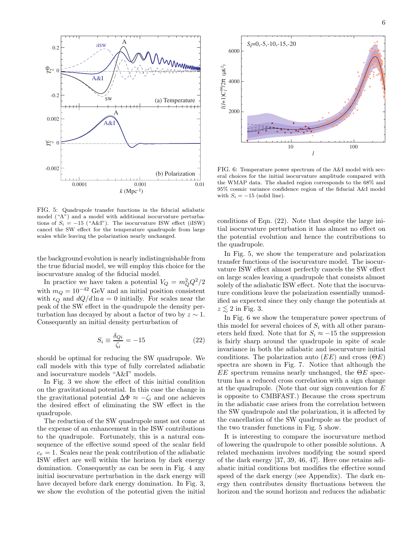

FIG. 5: Quadrupole transfer functions in the fiducial adiabatic model ("A") and a model with additional isocurvature perturbations of  $S_i = -15$  ("A&I"). The isocurvature ISW effect (iISW) cancel the SW effect for the temperature quadrupole from large scales while leaving the polarization nearly unchanged.

the background evolution is nearly indistinguishable from the true fiducial model, we will employ this choice for the isocurvature analog of the fiducial model.

In practice we have taken a potential  $V_Q = m_Q^2 Q^2/2$ with  $m_Q = 10^{-42}$  GeV and an initial position consistent with  $\epsilon_Q$  and  $dQ/d\ln a = 0$  initially. For scales near the peak of the SW effect in the quadrupole the density perturbation has decayed by about a factor of two by  $z \sim 1$ . Consequently an initial density perturbation of

$$
S_i \equiv \frac{\delta_{Qi}}{\zeta_i} = -15\tag{22}
$$

should be optimal for reducing the SW quadrupole. We call models with this type of fully correlated adiabatic and isocurvature models "A&I" models.

In Fig. 3 we show the effect of this initial condition on the gravitational potential. In this case the change in the gravitational potential  $\Delta \Phi \approx -\zeta_i$  and one achieves the desired effect of eliminating the SW effect in the quadrupole.

The reduction of the SW quadrupole must not come at the expense of an enhancement in the ISW contributions to the quadrupole. Fortunately, this is a natural consequence of the effective sound speed of the scalar field  $c_e = 1$ . Scales near the peak contribution of the adiabatic ISW effect are well within the horizon by dark energy domination. Consequently as can be seen in Fig. 4 any initial isocurvature perturbation in the dark energy will have decayed before dark energy domination. In Fig. 3, we show the evolution of the potential given the initial



FIG. 6: Temperature power spectrum of the A&I model with several choices for the initial isocurvature amplitude compared with the WMAP data. The shaded region corresponds to the 68% and 95% cosmic variance confidence region of the fiducial A&I model with  $S_i = -15$  (solid line).

conditions of Eqn. (22). Note that despite the large initial isocurvature perturbation it has almost no effect on the potential evolution and hence the contributions to the quadrupole.

In Fig. 5, we show the temperature and polarization transfer functions of the isocurvature model. The isocurvature ISW effect almost perfectly cancels the SW effect on large scales leaving a quadrupole that consists almost solely of the adiabatic ISW effect. Note that the isocurvature conditions leave the polarization essentially unmodified as expected since they only change the potentials at  $z \lesssim 2$  in Fig. 3.

In Fig. 6 we show the temperature power spectrum of this model for several choices of  $S_i$  with all other parameters held fixed. Note that for  $S_i \approx -15$  the suppression is fairly sharp around the quadrupole in spite of scale invariance in both the adiabatic and isocurvature initial conditions. The polarization auto  $(EE)$  and cross  $(\Theta E)$ spectra are shown in Fig. 7. Notice that although the  $EE$  spectrum remains nearly unchanged, the  $\Theta E$  spectrum has a reduced cross correlation with a sign change at the quadrupole. (Note that our sign convention for E is opposite to CMBFAST.) Because the cross spectrum in the adiabatic case arises from the correlation between the SW quadrupole and the polarization, it is affected by the cancellation of the SW quadrupole as the product of the two transfer functions in Fig. 5 show.

It is interesting to compare the isocurvature method of lowering the quadrupole to other possible solutions. A related mechanism involves modifying the sound speed of the dark energy [37, 39, 46, 47]. Here one retains adiabatic initial conditions but modifies the effective sound speed of the dark energy (see Appendix). The dark energy then contributes density fluctuations between the horizon and the sound horizon and reduces the adiabatic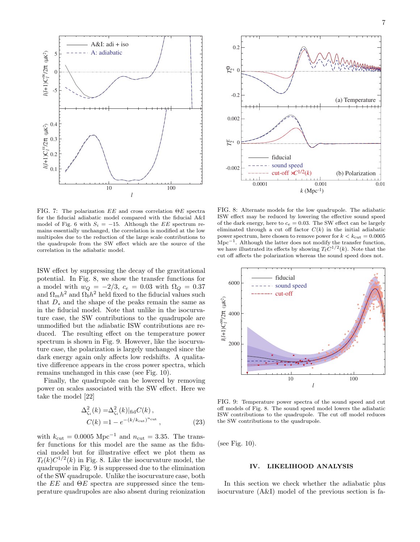

FIG. 7: The polarization  $EE$  and cross correlation  $\Theta E$  spectra for the fiducial adiabatic model compared with the fiducial A&I model of Fig. 6 with  $S_i = -15$ . Although the EE spectrum remains essentially unchanged, the correlation is modified at the low multipoles due to the reduction of the large scale contributions to the quadrupole from the SW effect which are the source of the correlation in the adiabatic model.

ISW effect by suppressing the decay of the gravitational potential. In Fig. 8, we show the transfer functions for a model with  $w_Q = -2/3$ ,  $c_e = 0.03$  with  $\Omega_Q = 0.37$ and  $\Omega_m h^2$  and  $\Omega_b h^2$  held fixed to the fiducial values such that  $D_*$  and the shape of the peaks remain the same as in the fiducial model. Note that unlike in the isocurvature case, the SW contributions to the quadrupole are unmodified but the adiabatic ISW contributions are reduced. The resulting effect on the temperature power spectrum is shown in Fig. 9. However, like the isocurvature case, the polarization is largely unchanged since the dark energy again only affects low redshifts. A qualitative difference appears in the cross power spectra, which remains unchanged in this case (see Fig. 10).

Finally, the quadrupole can be lowered by removing power on scales associated with the SW effect. Here we take the model [22]

$$
\Delta_{\zeta_i}^2(k) = \Delta_{\zeta_i}^2(k)|_{\text{fid}} C(k), C(k) = 1 - e^{-(k/k_{\text{cut}})^{n_{\text{cut}}}},
$$
(23)

with  $k_{\text{cut}} = 0.0005 \text{ Mpc}^{-1}$  and  $n_{\text{cut}} = 3.35$ . The transfer functions for this model are the same as the fiducial model but for illustrative effect we plot them as  $T_{\ell}(k)C^{1/2}(k)$  in Fig. 8. Like the isocurvature model, the quadrupole in Fig. 9 is suppressed due to the elimination of the SW quadrupole. Unlike the isocurvature case, both the  $EE$  and  $\Theta E$  spectra are suppressed since the temperature quadrupoles are also absent during reionization



FIG. 8: Alternate models for the low quadrupole. The adiabatic ISW effect may be reduced by lowering the effective sound speed of the dark energy, here to  $c_e = 0.03$ . The SW effect can be largely eliminated through a cut off factor  $C(k)$  in the initial adiabatic power spectrum, here chosen to remove power for  $k < k_{\text{cut}} = 0.0005$ Mpc−<sup>1</sup> . Although the latter does not modify the transfer function, we have illustrated its effects by showing  $T_{\ell}C^{1/2}(k)$ . Note that the cut off affects the polarization whereas the sound speed does not.



FIG. 9: Temperature power spectra of the sound speed and cut off models of Fig. 8. The sound speed model lowers the adiabatic ISW contributions to the quadrupole. The cut off model reduces the SW contributions to the quadrupole.

(see Fig. 10).

## IV. LIKELIHOOD ANALYSIS

In this section we check whether the adiabatic plus isocurvature (A&I) model of the previous section is fa-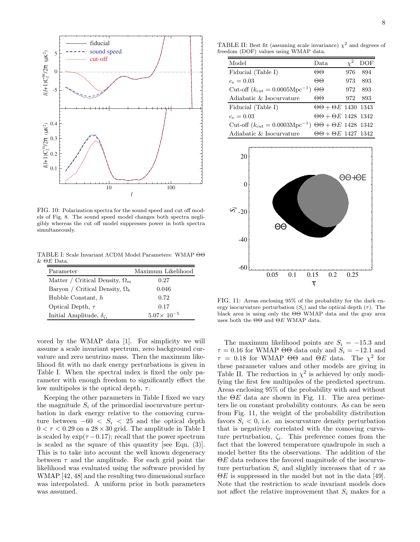

FIG. 10: Polarization spectra for the sound speed and cut off models of Fig. 8. The sound speed model changes both spectra negligibly whereas the cut off model suppresses power in both spectra simultaneously.

TABLE I: Scale Invariant ΛCDM Model Parameters: WMAP ΘΘ & ΘE Data.

| Parameter                             | Maximum Likelihood   |  |
|---------------------------------------|----------------------|--|
| Matter / Critical Density, $\Omega_m$ | 0.27                 |  |
| Baryon / Critical Density, $\Omega_b$ | 0.046                |  |
| Hubble Constant, $h$                  | 0.72                 |  |
| Optical Depth, $\tau$                 | 0.17                 |  |
| Initial Amplitude, $\delta_{\zeta_i}$ | $5.07\times 10^{-5}$ |  |

vored by the WMAP data [1]. For simplicity we will assume a scale invariant spectrum, zero background curvature and zero neutrino mass. Then the maximum likelihood fit with no dark energy perturbations is given in Table I. When the spectral index is fixed the only parameter with enough freedom to significantly effect the low multipoles is the optical depth,  $\tau$ .

Keeping the other parameters in Table I fixed we vary the magnitude  $S_i$  of the primordial isocurvature perturbation in dark energy relative to the comoving curvature between  $-60 < S_i < 25$  and the optical depth  $0 < \tau < 0.29$  on a  $28 \times 30$  grid. The amplitude in Table I is scaled by  $\exp(\tau - 0.17)$ ; recall that the power spectrum is scaled as the square of this quantity [see Eqn. (3)]. This is to take into account the well known degeneracy between  $\tau$  and the amplitude. For each grid point the likelihood was evaluated using the software provided by WMAP [42, 48] and the resulting two dimensional surface was interpolated. A uniform prior in both parameters was assumed.

TABLE II: Best fit (assuming scale invariance)  $\chi^2$  and degrees of freedom (DOF) values using WMAP data.

| Model                                               | Data                                     |     | DOF |
|-----------------------------------------------------|------------------------------------------|-----|-----|
| Fiducial (Table I)                                  | AΘ                                       | 976 | 894 |
| $c_e = 0.03$                                        | ΘΘ                                       | 973 | 893 |
| Cut-off $(k_{\text{cut}} = 0.0005 \text{Mpc}^{-1})$ | $\Theta\Theta$                           | 972 | 893 |
| Adiabatic & Isocurvature                            | ΘΘ                                       | 972 | 893 |
| Fiducial (Table I)                                  | $\Theta\Theta + \Theta E$ 1430 1343      |     |     |
| $c_e = 0.03$                                        | $\Theta$ $\Theta$ + $\Theta$ E 1428 1342 |     |     |
| Cut-off $(k_{\text{cut}} = 0.0003 \text{Mpc}^{-1})$ | $\Theta\Theta + \Theta E$ 1428 1342      |     |     |
| Adiabatic & Isocurvature                            | $\Theta\Theta + \Theta E$ 1427 1342      |     |     |



FIG. 11: Areas enclosing 95% of the probability for the dark energy isocurvature perturbation  $(S_i)$  and the optical depth  $(\tau)$ . The black area is using only the ΘΘ WMAP data and the gray area uses both the  $\Theta\Theta$  and  $\Theta E$  WMAP data.

The maximum likelihood points are  $S_i = -15.3$  and  $\tau = 0.16$  for WMAP  $\Theta\Theta$  data only and  $S_i = -12.1$  and  $\tau = 0.18$  for WMAP  $\Theta\Theta$  and  $\Theta E$  data. The  $\chi^2$  for these parameter values and other models are giving in Table II. The reduction in  $\chi^2$  is achieved by only modifying the first few multipoles of the predicted spectrum. Areas enclosing 95% of the probability with and without the  $\Theta E$  data are shown in Fig. 11. The area perimeters lie on constant probability contours. As can be seen from Fig. 11, the weight of the probability distribution favors  $S_i < 0$ , i.e. an isocurvature density perturbation that is negatively correlated with the comoving curvature perturbation,  $\zeta_i$ . This preference comes from the fact that the lowered temperature quadrupole in such a model better fits the observations. The addition of the ΘE data reduces the favored magnitude of the isocurvature perturbation  $S_i$  and slightly increases that of  $\tau$  as ΘE is suppressed in the model but not in the data [49]. Note that the restriction to scale invariant models does not affect the relative improvement that  $S_i$  makes for a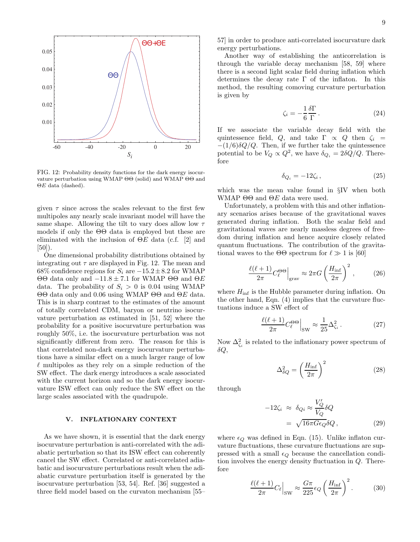

FIG. 12: Probability density functions for the dark energy isocurvature perturbation using WMAP ΘΘ (solid) and WMAP ΘΘ and  $\Theta E$  data (dashed).

given  $\tau$  since across the scales relevant to the first few multipoles any nearly scale invariant model will have the same shape. Allowing the tilt to vary does allow low  $\tau$ models if only the ΘΘ data is employed but these are eliminated with the inclusion of  $\Theta E$  data (c.f. [2] and  $[50]$ .

One dimensional probability distributions obtained by integrating out  $\tau$  are displayed in Fig. 12. The mean and 68% confidence regions for  $S_i$  are  $-15.2 \pm 8.2$  for WMAP ΘΘ data only and  $-11.8 \pm 7.1$  for WMAP ΘΘ and ΘE data. The probability of  $S_i > 0$  is 0.04 using WMAP ΘΘ data only and 0.06 using WMAP ΘΘ and ΘE data. This is in sharp contrast to the estimates of the amount of totally correlated CDM, baryon or neutrino isocurvature perturbation as estimated in [51, 52] where the probability for a positive isocurvature perturbation was roughly 50%, i.e. the isocurvature perturbation was not significantly different from zero. The reason for this is that correlated non-dark energy isocurvature perturbations have a similar effect on a much larger range of low  $\ell$  multipoles as they rely on a simple reduction of the SW effect. The dark energy introduces a scale associated with the current horizon and so the dark energy isocurvature ISW effect can only reduce the SW effect on the large scales associated with the quadrupole.

# V. INFLATIONARY CONTEXT

As we have shown, it is essential that the dark energy isocurvature perturbation is anti-correlated with the adiabatic perturbation so that its ISW effect can coherently cancel the SW effect. Correlated or anti-correlated adiabatic and isocurvature perturbations result when the adiabatic curvature perturbation itself is generated by the isocurvature perturbation [53, 54]. Ref. [36] suggested a three field model based on the curvaton mechanism [55–

57] in order to produce anti-correlated isocurvature dark energy perturbations.

Another way of establishing the anticorrelation is through the variable decay mechanism [58, 59] where there is a second light scalar field during inflation which determines the decay rate  $\Gamma$  of the inflaton. In this method, the resulting comoving curvature perturbation is given by

$$
\zeta_i = -\frac{1}{6} \frac{\delta \Gamma}{\Gamma} \,. \tag{24}
$$

If we associate the variable decay field with the quintessence field, Q, and take  $\Gamma \propto Q$  then  $\zeta_i =$  $-(1/6)\delta Q/Q$ . Then, if we further take the quintessence potential to be  $V_Q \propto Q^2$ , we have  $\delta_{Q_i} = 2\delta Q/Q$ . Therefore

$$
\delta_{Q_i} = -12\zeta_i \,,\tag{25}
$$

which was the mean value found in §IV when both WMAP  $\Theta\Theta$  and  $\Theta E$  data were used.

Unfortunately, a problem with this and other inflationary scenarios arises because of the gravitational waves generated during inflation. Both the scalar field and gravitational waves are nearly massless degrees of freedom during inflation and hence acquire closely related quantum fluctuations. The contribution of the gravitational waves to the  $\Theta\Theta$  spectrum for  $\ell \gg 1$  is [60]

$$
\frac{\ell(\ell+1)}{2\pi}C_{\ell}^{\Theta\Theta}\Big|_{\text{grav}} \approx 2\pi G \left(\frac{H_{\text{inf}}}{2\pi}\right)^2\,,\tag{26}
$$

where  $H_{\text{inf}}$  is the Hubble parameter during inflation. On the other hand, Eqn. (4) implies that the curvature fluctuations induce a SW effect of

$$
\frac{\ell(\ell+1)}{2\pi}C_{\ell}^{\Theta\Theta}\Big|_{\rm SW} \approx \frac{1}{25}\Delta_{\zeta_i}^2.
$$
 (27)

Now  $\Delta_{\zeta_i}^2$  is related to the inflationary power spectrum of  $\delta Q,$ 

$$
\Delta_{\delta Q}^2 = \left(\frac{H_{\rm inf}}{2\pi}\right)^2\tag{28}
$$

through

$$
-12\zeta_i \approx \delta_{Qi} \approx \frac{V'_Q}{V_Q} \delta Q
$$

$$
= \sqrt{16\pi G \epsilon_Q} \delta Q, \qquad (29)
$$

where  $\epsilon_Q$  was defined in Eqn. (15). Unlike inflaton curvature fluctuations, these curvature fluctuations are suppressed with a small  $\epsilon_Q$  because the cancellation condition involves the energy density fluctuation in Q. Therefore

$$
\frac{\ell(\ell+1)}{2\pi}C_{\ell}\Big|_{\text{SW}} \approx \frac{G\pi}{225}\epsilon_Q \left(\frac{H_{\text{inf}}}{2\pi}\right)^2.
$$
 (30)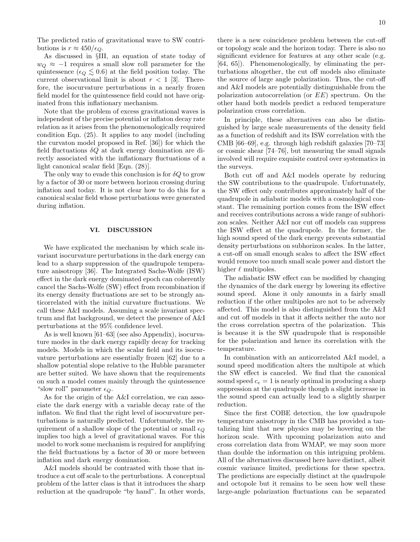The predicted ratio of gravitational wave to SW contributions is  $r \approx 450/\epsilon_Q$ .

As discussed in §III, an equation of state today of  $w_Q \approx -1$  requires a small slow roll parameter for the quintessence ( $\epsilon_Q \lesssim 0.6$ ) at the field position today. The current observational limit is about  $r < 1$  [3]. Therefore, the isocurvature perturbations in a nearly frozen field model for the quintessence field could not have originated from this inflationary mechanism.

Note that the problem of excess gravitational waves is independent of the precise potential or inflaton decay rate relation as it arises from the phenomenologically required condition Eqn. (25). It applies to any model (including the curvaton model proposed in Ref. [36]) for which the field fluctuations  $\delta Q$  at dark energy domination are directly associated with the inflationary fluctuations of a light canonical scalar field [Eqn. (28)].

The only way to evade this conclusion is for  $\delta Q$  to grow by a factor of 30 or more between horizon crossing during inflation and today. It is not clear how to do this for a canonical scalar field whose perturbations were generated during inflation.

## VI. DISCUSSION

We have explicated the mechanism by which scale invariant isocurvature perturbations in the dark energy can lead to a sharp suppression of the quadrupole temperature anisotropy [36]. The Integrated Sachs-Wolfe (ISW) effect in the dark energy dominated epoch can coherently cancel the Sachs-Wolfe (SW) effect from recombination if its energy density fluctuations are set to be strongly anticorrelated with the initial curvature fluctuations. We call these A&I models. Assuming a scale invariant spectrum and flat background, we detect the presence of A&I perturbations at the 95% confidence level.

As is well known [61–63] (see also Appendix), isocurvature modes in the dark energy rapidly decay for tracking models. Models in which the scalar field and its isocurvature perturbations are essentially frozen [62] due to a shallow potential slope relative to the Hubble parameter are better suited. We have shown that the requirements on such a model comes mainly through the quintessence "slow roll" parameter  $\epsilon_Q$ .

As for the origin of the A&I correlation, we can associate the dark energy with a variable decay rate of the inflaton. We find that the right level of isocurvature perturbations is naturally predicted. Unfortunately, the requirement of a shallow slope of the potential or small  $\epsilon_Q$ implies too high a level of gravitational waves. For this model to work some mechanism is required for amplifying the field fluctuations by a factor of 30 or more between inflation and dark energy domination.

A&I models should be contrasted with those that introduce a cut off scale to the perturbations. A conceptual problem of the latter class is that it introduces the sharp reduction at the quadrupole "by hand". In other words,

there is a new coincidence problem between the cut-off or topology scale and the horizon today. There is also no significant evidence for features at any other scale (e.g. [64, 65]). Phenomenologically, by eliminating the perturbations altogether, the cut off models also eliminate the source of large angle polarization. Thus, the cut-off and A&I models are potentially distinguishable from the polarization autocorrelation (or EE) spectrum. On the other hand both models predict a reduced temperature polarization cross correlation.

In principle, these alternatives can also be distinguished by large scale measurements of the density field as a function of redshift and its ISW correlation with the CMB [66–69], e.g. through high redshift galaxies [70–73] or cosmic shear [74–76], but measuring the small signals involved will require exquisite control over systematics in the surveys.

Both cut off and A&I models operate by reducing the SW contributions to the quadrupole. Unfortunately, the SW effect only contributes approximately half of the quadrupole in adiabatic models with a cosmological constant. The remaining portion comes from the ISW effect and receives contributions across a wide range of subhorizon scales. Neither A&I nor cut off models can suppress the ISW effect at the quadrupole. In the former, the high sound speed of the dark energy prevents substantial density perturbations on subhorizon scales. In the latter, a cut-off on small enough scales to affect the ISW effect would remove too much small scale power and distort the higher  $\ell$  multipoles.

The adiabatic ISW effect can be modified by changing the dynamics of the dark energy by lowering its effective sound speed. Alone it only amounts in a fairly small reduction if the other multipoles are not to be adversely affected. This model is also distinguished from the A&I and cut off models in that it affects neither the auto nor the cross correlation spectra of the polarization. This is because it is the SW quadrupole that is responsible for the polarization and hence its correlation with the temperature.

In combination with an anticorrelated A&I model, a sound speed modification alters the multipole at which the SW effect is canceled. We find that the canonical sound speed  $c_e = 1$  is nearly optimal in producing a sharp suppression at the quadrupole though a slight increase in the sound speed can actually lead to a slightly sharper reduction.

Since the first COBE detection, the low quadrupole temperature anisotropy in the CMB has provided a tantalizing hint that new physics may be hovering on the horizon scale. With upcoming polarization auto and cross correlation data from WMAP, we may soon more than double the information on this intriguing problem. All of the alternatives discussed here have distinct, albeit cosmic variance limited, predictions for these spectra. The predictions are especially distinct at the quadrupole and octopole but it remains to be seen how well these large-angle polarization fluctuations can be separated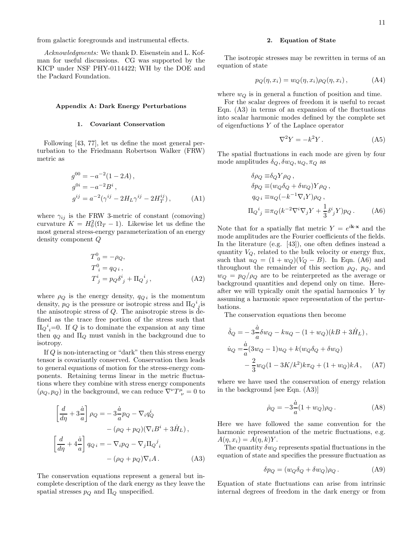from galactic foregrounds and instrumental effects.

Acknowledgments: We thank D. Eisenstein and L. Kofman for useful discussions. CG was supported by the KICP under NSF PHY-0114422; WH by the DOE and the Packard Foundation.

## Appendix A: Dark Energy Perturbations

### 1. Covariant Conservation

Following [43, 77], let us define the most general perturbation to the Friedmann Robertson Walker (FRW) metric as

$$
g^{00} = -a^{-2}(1 - 2A),
$$
  
\n
$$
g^{0i} = -a^{-2}B^{i},
$$
  
\n
$$
g^{ij} = a^{-2}(\gamma^{ij} - 2H_{L}\gamma^{ij} - 2H_{T}^{ij}),
$$
\n(A1)

where  $\gamma_{ij}$  is the FRW 3-metric of constant (comoving) curvature  $K = H_0^2(\Omega_T - 1)$ . Likewise let us define the most general stress-energy parameterization of an energy density component Q

$$
T^0_{\ 0} = -\rho_Q,
$$
  
\n
$$
T^0_{\ i} = q_Q_i,
$$
  
\n
$$
T^i_{\ j} = p_Q \delta^i_{\ j} + \Pi_Q^i_{\ j},
$$
\n(A2)

where  $\rho_Q$  is the energy density,  $q_{Q_i}$  is the momentum density,  $p_Q$  is the pressure or isotropic stress and  $\Pi_Q{}^i{}_j$  is the anisotropic stress of Q. The anisotropic stress is defined as the trace free portion of the stress such that  $\Pi_{Q}^{i}$ =0. If Q is to dominate the expansion at any time then  $q_Q$  and  $\Pi_Q$  must vanish in the background due to isotropy.

If Q is non-interacting or "dark" then this stress energy tensor is covariantly conserved. Conservation then leads to general equations of motion for the stress-energy components. Retaining terms linear in the metric fluctuations where they combine with stress energy components  $(\rho_Q, p_Q)$  in the background, we can reduce  $\nabla^{\nu}T^{\mu}_{\;\;\nu}=0$  to

$$
\left[\frac{d}{d\eta} + 3\frac{\dot{a}}{a}\right]\rho_Q = -3\frac{\dot{a}}{a}p_Q - \nabla_i q_Q^i
$$

$$
-(\rho_Q + p_Q)(\nabla_i B^i + 3\dot{H}_L),
$$

$$
\left[\frac{d}{d\eta} + 4\frac{\dot{a}}{a}\right]q_Q{}_i = -\nabla_i p_Q - \nabla_j \Pi_Q{}^j{}_i
$$

$$
-(\rho_Q + p_Q)\nabla_i A. \tag{A3}
$$

The conservation equations represent a general but incomplete description of the dark energy as they leave the spatial stresses  $p_Q$  and  $\Pi_Q$  unspecified.

### 2. Equation of State

The isotropic stresses may be rewritten in terms of an equation of state

$$
p_Q(\eta, x_i) = w_Q(\eta, x_i) \rho_Q(\eta, x_i), \qquad (A4)
$$

where  $w_Q$  is in general a function of position and time.

For the scalar degrees of freedom it is useful to recast Eqn. (A3) in terms of an expansion of the fluctuations into scalar harmonic modes defined by the complete set of eigenfuctions Y of the Laplace operator

$$
\nabla^2 Y = -k^2 Y. \tag{A5}
$$

The spatial fluctuations in each mode are given by four mode amplitudes  $\delta_Q$ ,  $\delta w_Q$ ,  $u_Q$ ,  $\pi_Q$  as

$$
\delta \rho_Q \equiv \delta_Q Y \rho_Q ,
$$
  
\n
$$
\delta p_Q \equiv (w_Q \delta_Q + \delta w_Q) Y \rho_Q ,
$$
  
\n
$$
q_Q{}_i \equiv u_Q (-k^{-1} \nabla_i Y) \rho_Q ,
$$
  
\n
$$
\Pi_Q{}^i{}_j \equiv \pi_Q (k^{-2} \nabla^i \nabla_j Y + \frac{1}{3} \delta^i{}_j Y) p_Q .
$$
 (A6)

Note that for a spatially flat metric  $Y = e^{i\mathbf{k} \cdot \mathbf{x}}$  and the mode amplitudes are the Fourier coefficients of the fields. In the literature (e.g. [43]), one often defines instead a quantity  $V_Q$ , related to the bulk velocity or energy flux, such that  $u_Q = (1 + w_Q)(V_Q - B)$ . In Eqn. (A6) and throughout the remainder of this section  $\rho_Q$ ,  $p_Q$ , and  $w_Q = p_Q/\rho_Q$  are to be reinterpreted as the average or background quantities and depend only on time. Hereafter we will typically omit the spatial harmonics  $Y$  by assuming a harmonic space representation of the perturbations.

The conservation equations then become

$$
\dot{\delta}_Q = -3\frac{\dot{a}}{a}\delta w_Q - ku_Q - (1 + w_Q)(kB + 3\dot{H}_L),
$$
  

$$
\dot{u}_Q = \frac{\dot{a}}{a}(3w_Q - 1)u_Q + k(w_Q\delta_Q + \delta w_Q) - \frac{2}{3}w_Q(1 - 3K/k^2)k\pi_Q + (1 + w_Q)kA, \quad (A7)
$$

where we have used the conservation of energy relation in the background  $|\text{see Eqn. (A3)}|$ 

$$
\dot{\rho}_Q = -3\frac{\dot{a}}{a}(1+w_Q)\rho_Q. \tag{A8}
$$

Here we have followed the same convention for the harmonic representation of the metric fluctuations, e.g.  $A(\eta, x_i) = A(\eta, k)Y.$ 

The quantity  $\delta w_Q$  represents spatial fluctuations in the equation of state and specifies the pressure fluctuation as

$$
\delta p_Q = (w_Q \delta_Q + \delta w_Q) \rho_Q. \tag{A9}
$$

Equation of state fluctuations can arise from intrinsic internal degrees of freedom in the dark energy or from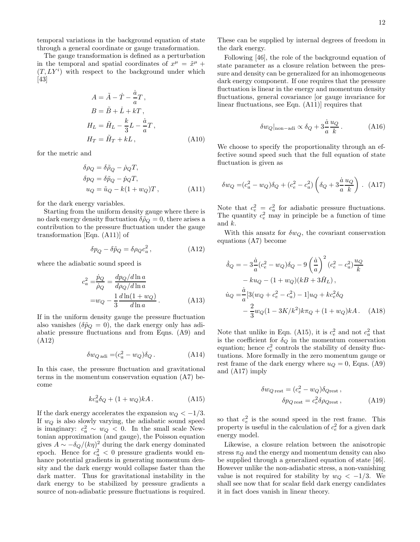temporal variations in the background equation of state through a general coordinate or gauge transformation.

The gauge transformation is defined as a perturbation in the temporal and spatial coordinates of  $x^{\mu} = \tilde{x}^{\mu} +$  $(T, LY^i)$  with respect to the background under which [43]

$$
A = \tilde{A} - \dot{T} - \frac{\dot{a}}{a}T,
$$
  
\n
$$
B = \tilde{B} + \dot{L} + kT,
$$
  
\n
$$
H_L = \tilde{H}_L - \frac{k}{3}L - \frac{\dot{a}}{a}T,
$$
  
\n
$$
H_T = \tilde{H}_T + kL,
$$
\n(A10)

for the metric and

$$
\delta \rho_Q = \delta \tilde{\rho}_Q - \dot{\rho}_Q T,
$$
  
\n
$$
\delta p_Q = \delta \tilde{p}_Q - \dot{p}_Q T,
$$
  
\n
$$
u_Q = \tilde{u}_Q - k(1 + w_Q)T,
$$
\n(A11)

for the dark energy variables.

Starting from the uniform density gauge where there is no dark energy density fluctuation  $\delta \tilde{\rho}_Q = 0$ , there arises a contribution to the pressure fluctuation under the gauge transformation [Eqn. (A11)] of

$$
\delta p_Q - \delta \tilde{p}_Q = \delta \rho_Q c_a^2 \,, \tag{A12}
$$

where the adiabatic sound speed is

$$
c_a^2 = \frac{\dot{p}_Q}{\dot{\rho}_Q} = \frac{dp_Q/d\ln a}{d\rho_Q/d\ln a}
$$

$$
= w_Q - \frac{1}{3} \frac{d\ln(1+w_Q)}{d\ln a}.
$$
(A13)

If in the uniform density gauge the pressure fluctuation also vanishes  $(\delta \tilde{p}_Q = 0)$ , the dark energy only has adiabatic pressure fluctuations and from Eqns. (A9) and (A12)

$$
\delta w_{Q \text{ adi}} = (c_a^2 - w_Q) \delta_Q. \tag{A14}
$$

In this case, the pressure fluctuation and gravitational terms in the momentum conservation equation (A7) become

$$
kc_a^2 \delta_Q + (1 + w_Q)kA. \tag{A15}
$$

If the dark energy accelerates the expansion  $w_Q < -1/3$ . If  $w_Q$  is also slowly varying, the adiabatic sound speed is imaginary:  $c_a^2 \sim w_Q \, < 0$ . In the small scale Newtonian approximation (and gauge), the Poisson equation gives  $A \sim -\delta_Q/(k\eta)^2$  during the dark energy dominated epoch. Hence for  $c_a^2 < 0$  pressure gradients would enhance potential gradients in generating momentum density and the dark energy would collapse faster than the dark matter. Thus for gravitational instability in the dark energy to be stabilized by pressure gradients a source of non-adiabatic pressure fluctuations is required.

These can be supplied by internal degrees of freedom in the dark energy.

Following [46], the role of the background equation of state parameter as a closure relation between the pressure and density can be generalized for an inhomogeneous dark energy component. If one requires that the pressure fluctuation is linear in the energy and momentum density fluctuations, general covariance [or gauge invariance for linear fluctuations, see Eqn. (A11)] requires that

$$
\delta w_Q|_{\text{non-adi}} \propto \delta_Q + 3\frac{\dot{a}}{a} \frac{u_Q}{k} \,. \tag{A16}
$$

We choose to specify the proportionality through an effective sound speed such that the full equation of state fluctuation is given as

$$
\delta w_Q = (c_a^2 - w_Q)\delta_Q + (c_e^2 - c_a^2) \left( \delta_Q + 3 \frac{\dot{a}}{a} \frac{u_Q}{k} \right) .
$$
 (A17)

Note that  $c_e^2 = c_a^2$  for adiabatic pressure fluctuations. The quantity  $c_e^2$  may in principle be a function of time and  $k$ .

With this ansatz for  $\delta w_Q$ , the covariant conservation equations (A7) become

$$
\dot{\delta}_Q = -3\frac{\dot{a}}{a}(c_e^2 - w_Q)\delta_Q - 9\left(\frac{\dot{a}}{a}\right)^2 (c_e^2 - c_a^2)\frac{u_Q}{k} \n- ku_Q - (1 + w_Q)(kB + 3\dot{H}_L), \n\dot{u}_Q = \frac{\dot{a}}{a}[3(w_Q + c_e^2 - c_a^2) - 1]u_Q + kc_e^2\delta_Q \n- \frac{2}{3}w_Q(1 - 3K/k^2)k\pi_Q + (1 + w_Q)kA. \quad (A18)
$$

Note that unlike in Eqn. (A15), it is  $c_e^2$  and not  $c_a^2$  that is the coefficient for  $\delta_Q$  in the momentum conservation equation; hence  $c_e^2$  controls the stability of density fluctuations. More formally in the zero momentum gauge or rest frame of the dark energy where  $u_Q = 0$ , Eqns. (A9) and (A17) imply

$$
\delta w_{Q \text{ rest}} = (c_e^2 - w_Q) \delta_{Q \text{rest}} ,
$$
  
\n
$$
\delta p_{Q \text{ rest}} = c_e^2 \delta \rho_{Q \text{rest}} ,
$$
 (A19)

so that  $c_e^2$  is the sound speed in the rest frame. This property is useful in the calculation of  $c_e^2$  for a given dark energy model.

Likewise, a closure relation between the anisotropic stress  $\pi_Q$  and the energy and momentum density can also be supplied through a generalized equation of state [46]. However unlike the non-adiabatic stress, a non-vanishing value is not required for stability by  $w_Q < -1/3$ . We shall see now that for scalar field dark energy candidates it in fact does vanish in linear theory.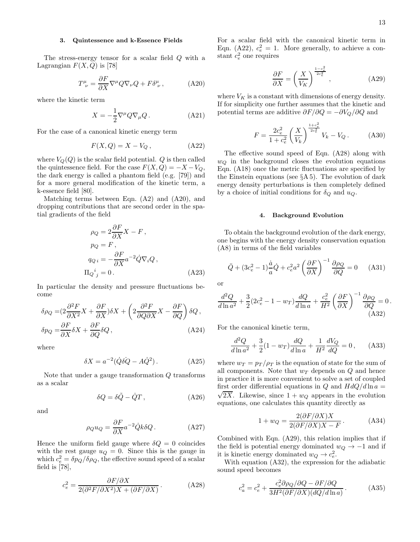## 3. Quintessence and k-Essence Fields

The stress-energy tensor for a scalar field Q with a Lagrangian  $F(X, Q)$  is [78]

$$
T^{\mu}_{\ \nu} = \frac{\partial F}{\partial X} \nabla^{\mu} Q \nabla_{\nu} Q + F \delta^{\mu}_{\ \nu} , \qquad (A20)
$$

where the kinetic term

$$
X = -\frac{1}{2}\nabla^{\mu}Q\nabla_{\mu}Q. \tag{A21}
$$

For the case of a canonical kinetic energy term

$$
F(X,Q) = X - V_Q, \qquad (A22)
$$

where  $V_Q(Q)$  is the scalar field potential. Q is then called the quintessence field. For the case  $F(X,Q) = -X - V_Q$ , the dark energy is called a phantom field (e.g. [79]) and for a more general modification of the kinetic term, a k-essence field [80].

Matching terms between Eqn. (A2) and (A20), and dropping contributions that are second order in the spatial gradients of the field

$$
\rho_Q = 2 \frac{\partial F}{\partial X} X - F,
$$
  
\n
$$
p_Q = F,
$$
  
\n
$$
q_Q{}_{i} = -\frac{\partial F}{\partial X} a^{-2} \dot{Q} \nabla_i Q,
$$
  
\n
$$
\Pi_Q{}^{i}{}_{j} = 0.
$$
\n(A23)

In particular the density and pressure fluctuations become

$$
\delta \rho_Q = (2 \frac{\partial^2 F}{\partial X^2} X + \frac{\partial F}{\partial X}) \delta X + \left( 2 \frac{\partial^2 F}{\partial Q \partial X} X - \frac{\partial F}{\partial Q} \right) \delta Q ,
$$
  

$$
\delta p_Q = \frac{\partial F}{\partial X} \delta X + \frac{\partial F}{\partial Q} \delta Q ,
$$
 (A24)

where

$$
\delta X = a^{-2} (\dot{Q}\delta \dot{Q} - A \dot{Q}^2). \tag{A25}
$$

Note that under a gauge transformation Q transforms as a scalar

$$
\delta Q = \delta \tilde{Q} - \dot{Q}T, \qquad (A26)
$$

and

$$
\rho_Q u_Q = \frac{\partial F}{\partial X} a^{-2} \dot{Q} k \delta Q \,. \tag{A27}
$$

Hence the uniform field gauge where  $\delta Q = 0$  coincides with the rest gauge  $u_Q = 0$ . Since this is the gauge in which  $c_e^2 = \delta p_Q / \delta \rho_Q$ , the effective sound speed of a scalar field is [78],

$$
c_e^2 = \frac{\partial F/\partial X}{2(\partial^2 F/\partial X^2)X + (\partial F/\partial X)}.
$$
 (A28)

For a scalar field with the canonical kinetic term in Eqn. (A22),  $c_e^2 = 1$ . More generally, to achieve a constant  $c_e^2$  one requires

$$
\frac{\partial F}{\partial X} = \left(\frac{X}{V_K}\right)^{\frac{1-c_e^2}{2c_e^2}},\tag{A29}
$$

where  $V_K$  is a constant with dimensions of energy density. If for simplicity one further assumes that the kinetic and potential terms are additive  $\partial F/\partial Q = -\partial V_Q/\partial Q$  and

$$
F = \frac{2c_e^2}{1 + c_e^2} \left(\frac{X}{V_k}\right)^{\frac{1 + c_e^2}{2c_e^2}} V_k - V_Q.
$$
 (A30)

The effective sound speed of Eqn. (A28) along with  $w_Q$  in the background closes the evolution equations Eqn. (A18) once the metric fluctuations are specified by the Einstein equations (see  $\S A 5$ ). The evolution of dark energy density perturbations is then completely defined by a choice of initial conditions for  $\delta_Q$  and  $u_Q$ .

### 4. Background Evolution

To obtain the background evolution of the dark energy, one begins with the energy density conservation equation (A8) in terms of the field variables

$$
\ddot{Q} + (3c_e^2 - 1)\frac{\dot{a}}{a}\dot{Q} + c_e^2 a^2 \left(\frac{\partial F}{\partial X}\right)^{-1} \frac{\partial \rho_Q}{\partial Q} = 0 \quad (A31)
$$

or

$$
\frac{d^2Q}{d\ln a^2} + \frac{3}{2}(2c_e^2 - 1 - w_T)\frac{dQ}{d\ln a} + \frac{c_e^2}{H^2} \left(\frac{\partial F}{\partial X}\right)^{-1} \frac{\partial \rho_Q}{\partial Q} = 0.
$$
\n(A32)

For the canonical kinetic term,

$$
\frac{d^2Q}{d\ln a^2} + \frac{3}{2}(1 - w_T)\frac{dQ}{d\ln a} + \frac{1}{H^2}\frac{dV_Q}{dQ} = 0\,,\qquad(A33)
$$

where  $w_T = p_T / \rho_T$  is the equation of state for the sum of all components. Note that  $w_T$  depends on  $Q$  and hence in practice it is more convenient to solve a set of coupled first order differential equations in Q and  $H dQ/d\ln a =$  $\sqrt{2X}$ . Likewise, since  $1 + w_Q$  appears in the evolution equations, one calculates this quantity directly as

$$
1 + w_Q = \frac{2(\partial F/\partial X)X}{2(\partial F/\partial X)X - F}.
$$
 (A34)

Combined with Eqn. (A29), this relation implies that if the field is potential energy dominated  $w_Q \rightarrow -1$  and if it is kinetic energy dominated  $w_Q \to c_e^2$ .

With equation (A32), the expression for the adiabatic sound speed becomes

$$
c_a^2 = c_e^2 + \frac{c_e^2 \partial \rho_Q / \partial Q - \partial F / \partial Q}{3H^2 (\partial F / \partial X)(dQ/d\ln a)}.
$$
 (A35)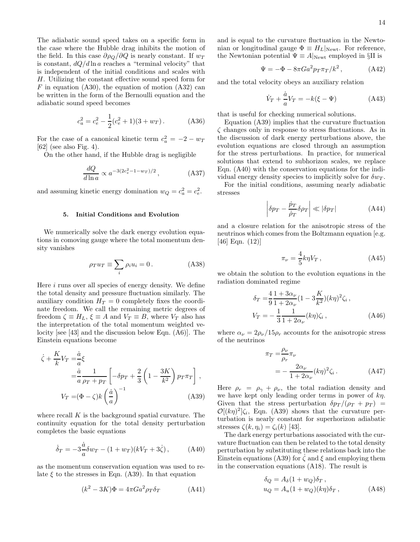The adiabatic sound speed takes on a specific form in the case where the Hubble drag inhibits the motion of the field. In this case  $\partial \rho_Q / \partial Q$  is nearly constant. If  $w_T$ is constant,  $dQ/d\ln a$  reaches a "terminal velocity" that is independent of the initial conditions and scales with H. Utilizing the constant effective sound speed form for  $F$  in equation (A30), the equation of motion (A32) can be written in the form of the Bernoulli equation and the adiabatic sound speed becomes

$$
c_a^2 = c_e^2 - \frac{1}{2}(c_e^2 + 1)(3 + w_T). \tag{A36}
$$

For the case of a canonical kinetic term  $c_a^2 = -2 - w_T$ [62] (see also Fig. 4).

On the other hand, if the Hubble drag is negligible

$$
\frac{dQ}{d\ln a} \propto a^{-3(2c_e^2 - 1 - w_T)/2},\tag{A37}
$$

and assuming kinetic energy domination  $w_Q = c_a^2 = c_e^2$ .

### 5. Initial Conditions and Evolution

We numerically solve the dark energy evolution equations in comoving gauge where the total momentum density vanishes

$$
\rho_T u_T \equiv \sum_i \rho_i u_i = 0. \tag{A38}
$$

Here  $i$  runs over all species of energy density. We define the total density and pressure fluctuation similarly. The auxiliary condition  $H_T = 0$  completely fixes the coordinate freedom. We call the remaining metric degrees of freedom  $\zeta \equiv H_L$ ,  $\xi \equiv A$  and  $V_T \equiv B$ , where  $V_T$  also has the interpretation of the total momentum weighted velocity [see [43] and the discussion below Eqn. (A6)]. The Einstein equations become

$$
\dot{\zeta} + \frac{K}{k} V_T = \frac{\dot{a}}{a} \xi
$$
  
=  $\frac{\dot{a}}{a} \frac{1}{\rho_T + p_T} \left[ -\delta p_T + \frac{2}{3} \left( 1 - \frac{3K}{k^2} \right) p_T \pi_T \right],$   

$$
V_T = (\Phi - \zeta) k \left( \frac{\dot{a}}{a} \right)^{-1}
$$
(A39)

where recall  $K$  is the background spatial curvature. The continuity equation for the total density perturbation completes the basic equations

$$
\dot{\delta}_T = -3\frac{\dot{a}}{a}\delta w_T - (1+w_T)(kV_T + 3\dot{\zeta}), \tag{A40}
$$

as the momentum conservation equation was used to relate  $\xi$  to the stresses in Eqn. (A39). In that equation

$$
(k^2 - 3K)\Phi = 4\pi Ga^2 \rho_T \delta_T \tag{A41}
$$

and is equal to the curvature fluctuation in the Newtonian or longitudinal gauge  $\Phi \equiv H_L|_{\text{Newt}}$ . For reference, the Newtonian potential  $\Psi \equiv A|_{\text{Newt}}$  employed in §II is

$$
\Psi = -\Phi - 8\pi Ga^2 p_T \pi_T / k^2, \qquad (A42)
$$

and the total velocity obeys an auxiliary relation

$$
\dot{V}_T + \frac{\dot{a}}{a} V_T = -k(\xi - \Psi)
$$
\n(A43)

that is useful for checking numerical solutions.

Equation (A39) implies that the curvature fluctuation ζ changes only in response to stress fluctuations. As in the discussion of dark energy perturbations above, the evolution equations are closed through an assumption for the stress perturbations. In practice, for numerical solutions that extend to subhorizon scales, we replace Eqn. (A40) with the conservation equations for the individual energy density species to implicitly solve for  $\delta w_T$ .

For the initial conditions, assuming nearly adiabatic stresses

$$
\left| \delta p_T - \frac{\dot{p}_T}{\dot{\rho}_T} \delta \rho_T \right| \ll |\delta p_T| \tag{A44}
$$

and a closure relation for the anisotropic stress of the neutrinos which comes from the Boltzmann equation [e.g. [46] Eqn. (12)]

$$
\pi_{\nu} = \frac{4}{5} k \eta V_T , \qquad (A45)
$$

we obtain the solution to the evolution equations in the radiation dominated regime

$$
\delta_T = \frac{4}{9} \frac{1 + 3\alpha_\nu}{1 + 2\alpha_\nu} (1 - 3\frac{K}{k^2})(k\eta)^2 \zeta_i ,
$$
  
\n
$$
V_T = -\frac{1}{3} \frac{1}{1 + 2\alpha_\nu} (k\eta) \zeta_i ,
$$
\n(A46)

where  $\alpha_{\nu} = 2\rho_{\nu}/15\rho_{r}$  accounts for the anisotropic stress of the neutrinos

$$
\pi_T = \frac{\rho_\nu}{\rho_r} \pi_\nu
$$
  
=  $-\frac{2\alpha_\nu}{1 + 2\alpha_\nu} (k\eta)^2 \zeta_i$ . (A47)

Here  $\rho_r = \rho_\gamma + \rho_\nu$ , the total radiation density and we have kept only leading order terms in power of  $k\eta$ . Given that the stress perturbation  $\delta p_T / (\rho_T + p_T)$  =  $\mathcal{O}[(k\eta)^2]\zeta_i$ , Eqn. (A39) shows that the curvature perturbation is nearly constant for superhorizon adiabatic stresses  $\zeta(k, \eta_i) = \zeta_i(k)$  [43].

The dark energy perturbations associated with the curvature fluctuation can then be related to the total density perturbation by substituting these relations back into the Einstein equations (A39) for  $\zeta$  and  $\xi$  and employing them in the conservation equations (A18). The result is

$$
\delta_Q = A_\delta (1 + w_Q) \delta_T ,
$$
  
\n
$$
u_Q = A_u (1 + w_Q)(k\eta) \delta_T ,
$$
 (A48)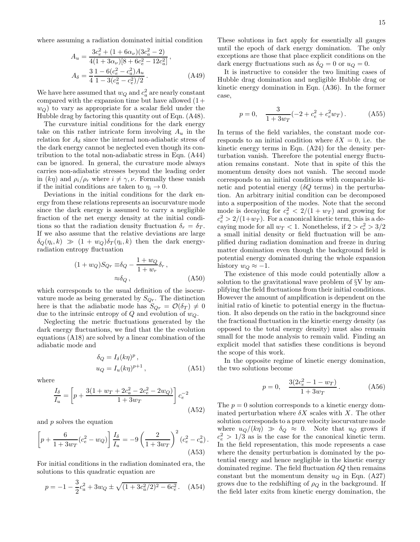where assuming a radiation dominated initial condition

$$
A_u = \frac{3c_e^2 + (1 + 6\alpha_\nu)(3c_a^2 - 2)}{4(1 + 3\alpha_\nu)[8 + 6c_e^2 - 12c_a^2]},
$$
  
\n
$$
A_\delta = \frac{3}{4} \frac{1 - 6(c_e^2 - c_a^2)A_u}{1 - 3(c_a^2 - c_e^2)/2}.
$$
 (A49)

We have here assumed that  $w_Q$  and  $c_a^2$  are nearly constant compared with the expansion time but have allowed  $(1 +$  $w<sub>O</sub>$ ) to vary as appropriate for a scalar field under the Hubble drag by factoring this quantity out of Eqn. (A48).

The curvature initial conditions for the dark energy take on this rather intricate form involving  $A_u$  in the relation for  $A_{\delta}$  since the internal non-adiabatic stress of the dark energy cannot be neglected even though its contribution to the total non-adiabatic stress in Eqn. (A44) can be ignored. In general, the curvature mode always carries non-adiabatic stresses beyond the leading order in  $(k\eta)$  and  $\rho_i/\rho_r$  where  $i \neq \gamma, \nu$ . Formally these vanish if the initial conditions are taken to  $\eta_i \to 0$ .

Deviations in the initial conditions for the dark energy from these relations represents an isocurvature mode since the dark energy is assumed to carry a negligible fraction of the net energy density at the initial conditions so that the radiation density fluctuation  $\delta_r = \delta_T$ . If we also assume that the relative deviations are large  $\delta_Q(\eta_i, k) \gg (1 + w_Q) \delta_T(\eta_i, k)$  then the dark energyradiation entropy fluctuation

$$
(1 + w_Q)S_{Qr} \equiv \delta_Q - \frac{1 + w_Q}{1 + w_r} \delta_r ,
$$
  

$$
\approx \delta_Q ,
$$
 (A50)

which corresponds to the usual definition of the isocurvature mode as being generated by  $S_{Qr}$ . The distinction here is that the adiabatic mode has  $S_{Qr} = \mathcal{O}(\delta_T) \neq 0$ due to the intrinsic entropy of  $Q$  and evolution of  $w_Q$ .

Neglecting the metric fluctuations generated by the dark energy fluctuations, we find that the the evolution equations (A18) are solved by a linear combination of the adiabatic mode and

$$
\delta_Q = I_\delta(k\eta)^p ,
$$
  
\n
$$
u_Q = I_u(k\eta)^{p+1} ,
$$
\n(A51)

where

$$
\frac{I_{\delta}}{I_{u}} = \left[ p + \frac{3(1 + w_{T} + 2c_{a}^{2} - 2c_{e}^{2} - 2w_{Q})}{1 + 3w_{T}} \right] c_{e}^{-2}
$$
\n(A52)

and p solves the equation

$$
\left[p + \frac{6}{1 + 3w_T}(c_e^2 - w_Q)\right] \frac{I_\delta}{I_u} = -9 \left(\frac{2}{1 + 3w_T}\right)^2 (c_e^2 - c_a^2).
$$
\n(A53)

For initial conditions in the radiation dominated era, the solutions to this quadratic equation are

$$
p = -1 - \frac{3}{2}c_a^2 + 3w_Q \pm \sqrt{(1 + 3c_a^2/2)^2 - 6c_e^2}.
$$
 (A54)

These solutions in fact apply for essentially all gauges until the epoch of dark energy domination. The only exceptions are those that place explicit conditions on the dark energy fluctuations such as  $\delta_Q = 0$  or  $u_Q = 0$ .

It is instructive to consider the two limiting cases of Hubble drag domination and negligible Hubble drag or kinetic energy domination in Eqn. (A36). In the former case,

$$
p = 0, \quad \frac{3}{1 + 3w_T}(-2 + c_e^2 + c_e^2 w_T). \tag{A55}
$$

In terms of the field variables, the constant mode corresponds to an initial condition where  $\delta X = 0$ , i.e. the kinetic energy terms in Eqn. (A24) for the density perturbation vanish. Therefore the potential energy fluctuation remains constant. Note that in spite of this the momentum density does not vanish. The second mode corresponds to an initial conditions with comparable kinetic and potential energy ( $\delta Q$  terms) in the perturbation. An arbitrary initial condition can be decomposed into a superposition of the modes. Note that the second mode is decaying for  $c_e^2 < 2/(1+w_T)$  and growing for  $c_e^2 > 2/(1+w_T)$ . For a canonical kinetic term, this is a decaying mode for all  $w_T < 1$ . Nonetheless, if  $2 > c_e^2 > 3/2$ a small initial density or field fluctuation will be amplified during radiation domination and freeze in during matter domination even though the background field is potential energy dominated during the whole expansion history  $w_Q \approx -1$ .

The existence of this mode could potentially allow a solution to the gravitational wave problem of §V by amplifying the field fluctuations from their initial conditions. However the amount of amplification is dependent on the initial ratio of kinetic to potential energy in the fluctuation. It also depends on the ratio in the background since the fractional fluctuation in the kinetic energy density (as opposed to the total energy density) must also remain small for the mode analysis to remain valid. Finding an explicit model that satisfies these conditions is beyond the scope of this work.

In the opposite regime of kinetic energy domination, the two solutions become

$$
p = 0, \quad \frac{3(2c_e^2 - 1 - w_T)}{1 + 3w_T}.
$$
 (A56)

The  $p = 0$  solution corresponds to a kinetic energy dominated perturbation where  $\delta X$  scales with X. The other solution corresponds to a pure velocity isocurvature mode where  $u_Q/(k\eta) \gg \delta_Q \approx 0$ . Note that  $u_Q$  grows if  $c_e^2 > 1/3$  as is the case for the canonical kinetic term. In the field representation, this mode represents a case where the density perturbation is dominated by the potential energy and hence negligible in the kinetic energy dominated regime. The field fluctuation  $\delta Q$  then remains constant but the momentum density  $u_Q$  in Eqn. (A27) grows due to the redshifting of  $\rho_Q$  in the background. If the field later exits from kinetic energy domination, the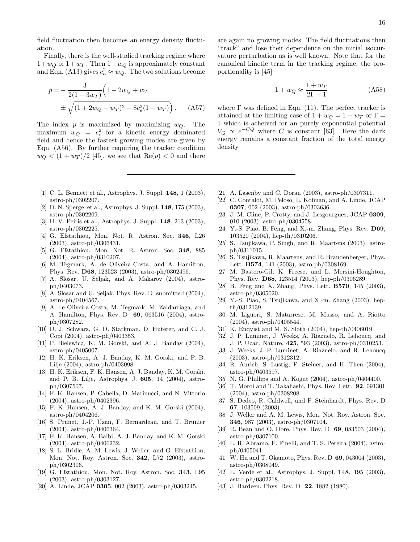field fluctuation then becomes an energy density fluctuation.

Finally, there is the well-studied tracking regime where  $1+w_Q \propto 1+w_T$ . Then  $1+w_Q$  is approximately constant and Eqn. (A13) gives  $c_a^2 \approx w_Q$ . The two solutions become

$$
p = -\frac{3}{2(1+3w_T)} \left( 1 - 2w_Q + w_T \right)
$$
  
 
$$
\pm \sqrt{(1+2w_Q + w_T)^2 - 8c_e^2(1+w_T)}.
$$
 (A57)

The index  $p$  is maximized by maximizing  $w_Q$ . The maximum  $w_Q = c_e^2$  for a kinetic energy dominated field and hence the fastest growing modes are given by Eqn. (A56). By further requiring the tracker condition  $w_Q < (1 + w_T)/2$  [45], we see that  $\text{Re}(p) < 0$  and there are again no growing modes. The field fluctuations then "track" and lose their dependence on the initial isocurvature perturbation as is well known. Note that for the canonical kinetic term in the tracking regime, the proportionality is [45]

$$
1 + w_Q \approx \frac{1 + w_T}{2\Gamma - 1} \tag{A58}
$$

where  $\Gamma$  was defined in Eqn. (11). The perfect tracker is attained at the limiting case of  $1 + w_Q = 1 + w_T$  or  $\Gamma =$ 1 which is acheived for an purely exponential potential  $V_Q \propto e^{-CQ}$  where C is constant [63]. Here the dark energy remains a constant fraction of the total energy density.

- [1] C. L. Bennett et al., Astrophys. J. Suppl. 148, 1 (2003), astro-ph/0302207.
- [2] D. N. Spergel et al., Astrophys. J. Suppl. 148, 175 (2003), astro-ph/0302209.
- [3] H. V. Peiris et al., Astrophys. J. Suppl. 148, 213 (2003), astro-ph/0302225.
- [4] G. Efstathiou, Mon. Not. R. Astron. Soc. 346, L26 (2003), astro-ph/0306431.
- [5] G. Efstathiou, Mon. Not. R. Astron. Soc. 348, 885 (2004), astro-ph/0310207.
- [6] M. Tegmark, A. de Oliveira-Costa, and A. Hamilton, Phys. Rev. D68, 123523 (2003), astro-ph/0302496.
- [7] A. Slosar, U. Seljak, and A. Makarov (2004), astroph/0403073.
- [8] A. Slosar and U. Seljak, Phys. Rev. D submitted (2004), astro-ph/0404567.
- [9] A. de Oliveira-Costa, M. Tegmark, M. Zaldarriaga, and A. Hamilton, Phys. Rev. D 69, 063516 (2004), astroph/0307282.
- [10] D. J. Schwarz, G. D. Starkman, D. Huterer, and C. J. Copi (2004), astro-ph/0403353.
- [11] P. Bielewicz, K. M. Gorski, and A. J. Banday (2004), astro-ph/0405007.
- [12] H. K. Eriksen, A. J. Banday, K. M. Gorski, and P. B. Lilje (2004), astro-ph/0403098.
- [13] H. K. Eriksen, F. K. Hansen, A. J. Banday, K. M. Gorski, and P. B. Lilje, Astrophys. J. 605, 14 (2004), astroph/0307507.
- [14] F. K. Hansen, P. Cabella, D. Marinucci, and N. Vittorio (2004), astro-ph/0402396.
- [15] F. K. Hansen, A. J. Banday, and K. M. Gorski (2004), astro-ph/0404206.
- [16] S. Prunet, J.-P. Uzan, F. Bernardeau, and T. Brunier (2004), astro-ph/0406364.
- [17] F. K. Hansen, A. Balbi, A. J. Banday, and K. M. Gorski (2004), astro-ph/0406232.
- [18] S. L. Bridle, A. M. Lewis, J. Weller, and G. Efstathiou, Mon. Not. Roy. Astron. Soc. 342, L72 (2003), astroph/0302306.
- [19] G. Efstathiou, Mon. Not. Roy. Astron. Soc. 343, L95 (2003), astro-ph/0303127.
- [20] A. Linde, JCAP 0305, 002 (2003), astro-ph/0303245.
- [21] A. Lasenby and C. Doran (2003), astro-ph/0307311.
- [22] C. Contaldi, M. Peloso, L. Kofman, and A. Linde, JCAP 0307, 002 (2003), astro-ph/0303636.
- [23] J. M. Cline, P. Crotty, and J. Lesgourgues, JCAP 0309, 010 (2003), astro-ph/0304558.
- [24] Y.-S. Piao, B. Feng, and X.-m. Zhang, Phys. Rev. D69, 103520 (2004), hep-th/0310206.
- [25] S. Tsujikawa, P. Singh, and R. Maartens (2003), astroph/0311015.
- [26] S. Tsujikawa, R. Maartens, and R. Brandenberger, Phys. Lett. B574, 141 (2003), astro-ph/0308169.
- [27] M. Bastero-Gil, K. Freese, and L. Mersini-Houghton, Phys. Rev. D68, 123514 (2003), hep-ph/0306289.
- [28] B. Feng and X. Zhang, Phys. Lett. **B570**, 145 (2003), astro-ph/0305020.
- [29] Y.-S. Piao, S. Tsujikawa, and X.-m. Zhang (2003), hepth/0312139.
- [30] M. Liguori, S. Matarrese, M. Musso, and A. Riotto (2004), astro-ph/0405544.
- [31] K. Enqvist and M. S. Sloth (2004), hep-th/0406019.
- [32] J. P. Luminet, J. Weeks, A. Riazuelo, R. Lehoucq, and J. P. Uzan, Nature. 425, 593 (2003), astro-ph/0310253.
- [33] J. Weeks, J.-P. Luminet, A. Riazuelo, and R. Lehoucq (2003), astro-ph/0312312.
- [34] R. Aurich, S. Lustig, F. Steiner, and H. Then (2004), astro-ph/0403597.
- N. G. Phillips and A. Kogut (2004), astro-ph/0404400.
- [36] T. Moroi and T. Takahashi, Phys. Rev. Lett. **92**, 091301 (2004), astro-ph/0308208.
- [37] S. Dedeo, R. Caldwell, and P. Steinhardt, Phys. Rev. D 67, 103509 (2003).
- [38] J. Weller and A. M. Lewis, Mon. Not. Roy. Astron. Soc. 346, 987 (2003), astro-ph/0307104.
- [39] R. Bean and O. Dore, Phys. Rev. D 69, 083503 (2004), astro-ph/0307100.
- [40] L. R. Abramo, F. Finelli, and T. S. Pereira (2004), astroph/0405041.
- [41] W. Hu and T. Okamoto, Phys. Rev. D 69, 043004 (2003), astro-ph/0308049.
- [42] L. Verde et al., Astrophys. J. Suppl. **148**, 195 (2003), astro-ph/0302218.
- [43] J. Bardeen, Phys. Rev. D **22**, 1882 (1980).